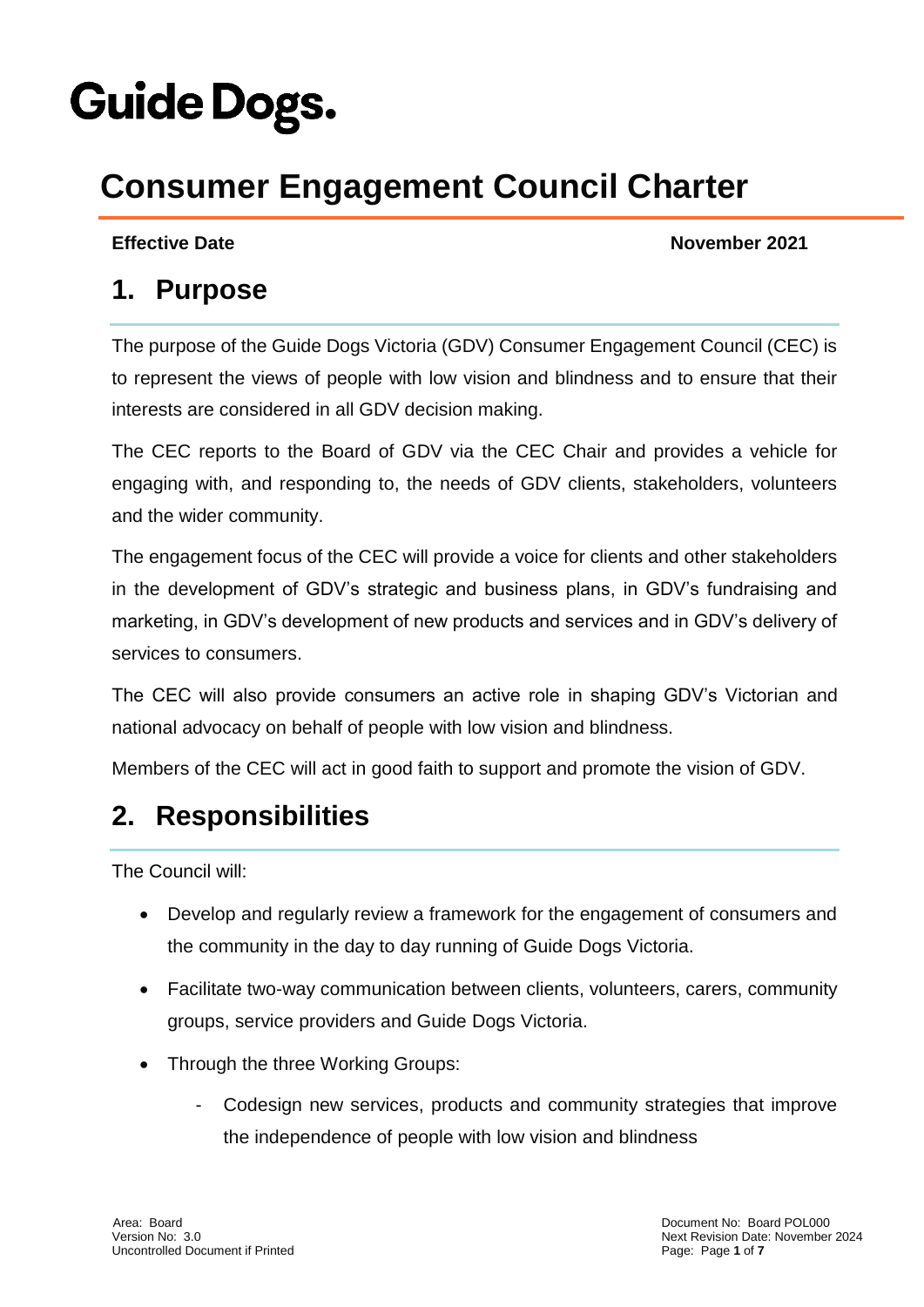# **Guide Dogs.**

# **Consumer Engagement Council Charter**

**Effective Date** November 2021

#### **1. Purpose**

The purpose of the Guide Dogs Victoria (GDV) Consumer Engagement Council (CEC) is to represent the views of people with low vision and blindness and to ensure that their interests are considered in all GDV decision making.

The CEC reports to the Board of GDV via the CEC Chair and provides a vehicle for engaging with, and responding to, the needs of GDV clients, stakeholders, volunteers and the wider community.

The engagement focus of the CEC will provide a voice for clients and other stakeholders in the development of GDV's strategic and business plans, in GDV's fundraising and marketing, in GDV's development of new products and services and in GDV's delivery of services to consumers.

The CEC will also provide consumers an active role in shaping GDV's Victorian and national advocacy on behalf of people with low vision and blindness.

Members of the CEC will act in good faith to support and promote the vision of GDV.

#### **2. Responsibilities**

The Council will:

- Develop and regularly review a framework for the engagement of consumers and the community in the day to day running of Guide Dogs Victoria.
- Facilitate two-way communication between clients, volunteers, carers, community groups, service providers and Guide Dogs Victoria.
- Through the three Working Groups:
	- Codesign new services, products and community strategies that improve the independence of people with low vision and blindness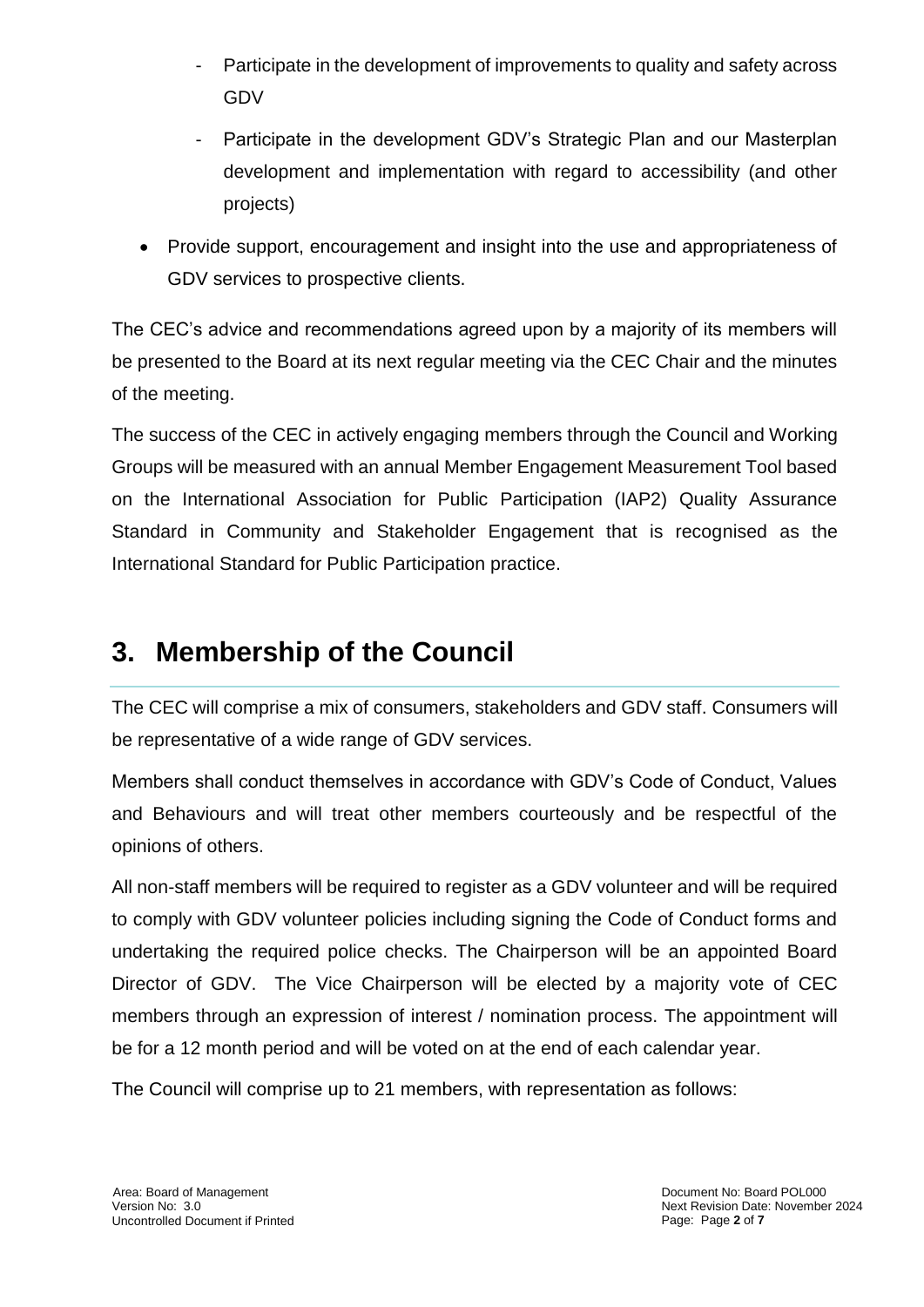- Participate in the development of improvements to quality and safety across GDV
- Participate in the development GDV's Strategic Plan and our Masterplan development and implementation with regard to accessibility (and other projects)
- Provide support, encouragement and insight into the use and appropriateness of GDV services to prospective clients.

The CEC's advice and recommendations agreed upon by a majority of its members will be presented to the Board at its next regular meeting via the CEC Chair and the minutes of the meeting.

The success of the CEC in actively engaging members through the Council and Working Groups will be measured with an annual Member Engagement Measurement Tool based on the International Association for Public Participation (IAP2) Quality Assurance Standard in Community and Stakeholder Engagement that is recognised as the International Standard for Public Participation practice.

#### **3. Membership of the Council**

The CEC will comprise a mix of consumers, stakeholders and GDV staff. Consumers will be representative of a wide range of GDV services.

Members shall conduct themselves in accordance with GDV's Code of Conduct, Values and Behaviours and will treat other members courteously and be respectful of the opinions of others.

All non-staff members will be required to register as a GDV volunteer and will be required to comply with GDV volunteer policies including signing the Code of Conduct forms and undertaking the required police checks. The Chairperson will be an appointed Board Director of GDV. The Vice Chairperson will be elected by a majority vote of CEC members through an expression of interest / nomination process. The appointment will be for a 12 month period and will be voted on at the end of each calendar year.

The Council will comprise up to 21 members, with representation as follows: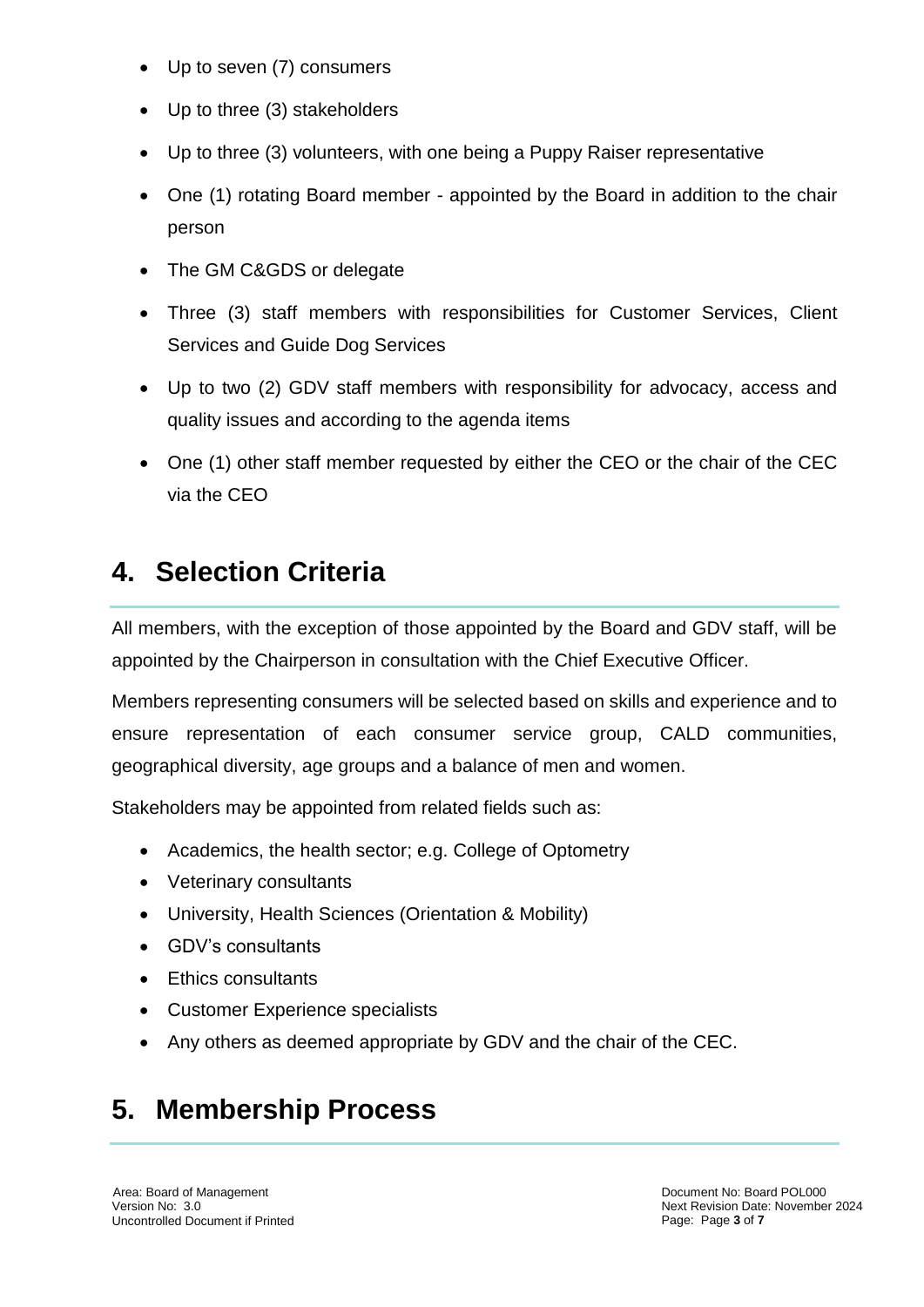- Up to seven (7) consumers
- Up to three (3) stakeholders
- Up to three (3) volunteers, with one being a Puppy Raiser representative
- One (1) rotating Board member appointed by the Board in addition to the chair person
- The GM C&GDS or delegate
- Three (3) staff members with responsibilities for Customer Services, Client Services and Guide Dog Services
- Up to two (2) GDV staff members with responsibility for advocacy, access and quality issues and according to the agenda items
- One (1) other staff member requested by either the CEO or the chair of the CEC via the CEO

#### **4. Selection Criteria**

All members, with the exception of those appointed by the Board and GDV staff, will be appointed by the Chairperson in consultation with the Chief Executive Officer.

Members representing consumers will be selected based on skills and experience and to ensure representation of each consumer service group, CALD communities, geographical diversity, age groups and a balance of men and women.

Stakeholders may be appointed from related fields such as:

- Academics, the health sector; e.g. College of Optometry
- Veterinary consultants
- University, Health Sciences (Orientation & Mobility)
- GDV's consultants
- Ethics consultants
- Customer Experience specialists
- Any others as deemed appropriate by GDV and the chair of the CEC.

### **5. Membership Process**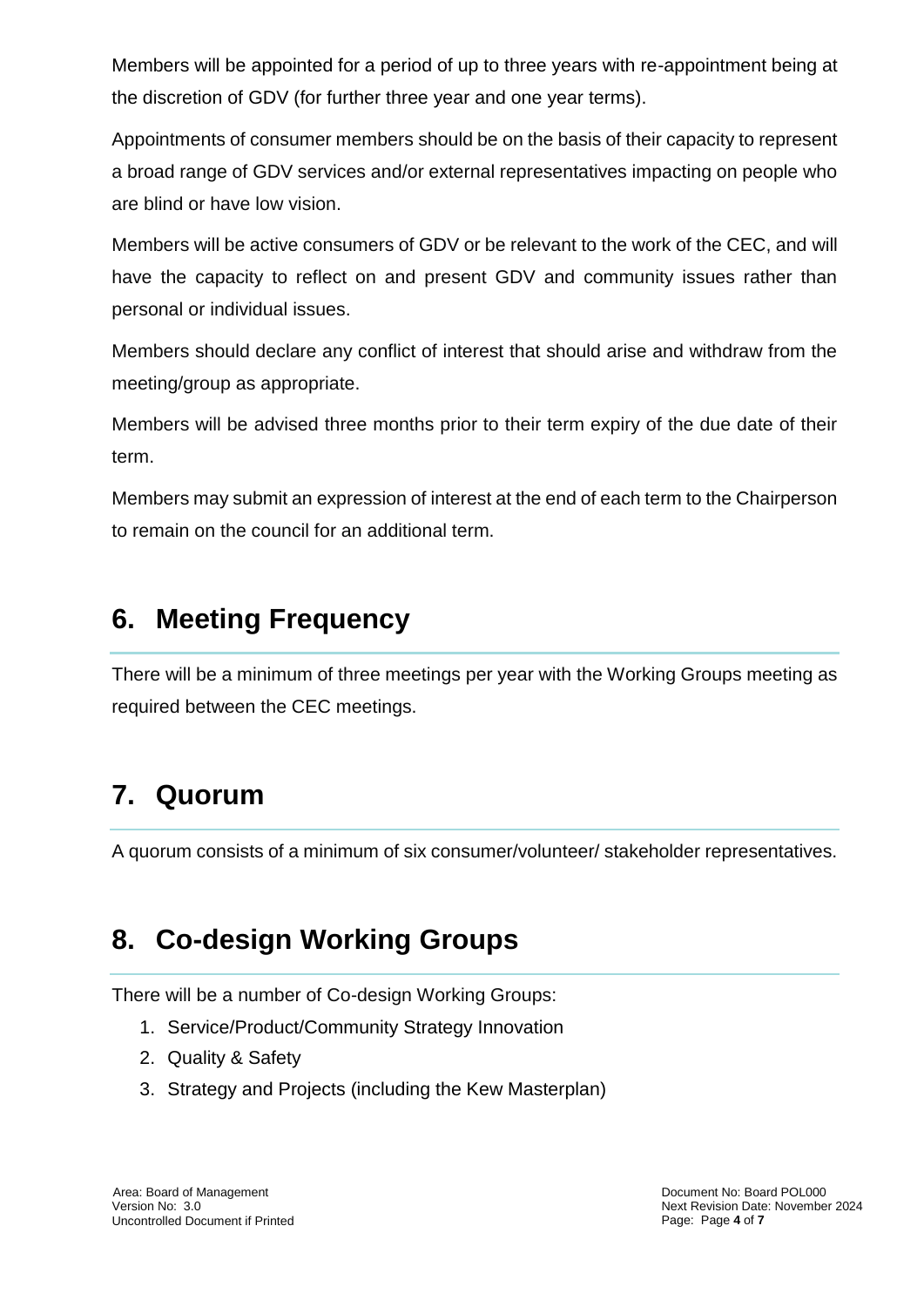Members will be appointed for a period of up to three years with re-appointment being at the discretion of GDV (for further three year and one year terms).

Appointments of consumer members should be on the basis of their capacity to represent a broad range of GDV services and/or external representatives impacting on people who are blind or have low vision.

Members will be active consumers of GDV or be relevant to the work of the CEC, and will have the capacity to reflect on and present GDV and community issues rather than personal or individual issues.

Members should declare any conflict of interest that should arise and withdraw from the meeting/group as appropriate.

Members will be advised three months prior to their term expiry of the due date of their term.

Members may submit an expression of interest at the end of each term to the Chairperson to remain on the council for an additional term.

#### **6. Meeting Frequency**

There will be a minimum of three meetings per year with the Working Groups meeting as required between the CEC meetings.

## **7. Quorum**

A quorum consists of a minimum of six consumer/volunteer/ stakeholder representatives.

#### **8. Co-design Working Groups**

There will be a number of Co-design Working Groups:

- 1. Service/Product/Community Strategy Innovation
- 2. Quality & Safety
- 3. Strategy and Projects (including the Kew Masterplan)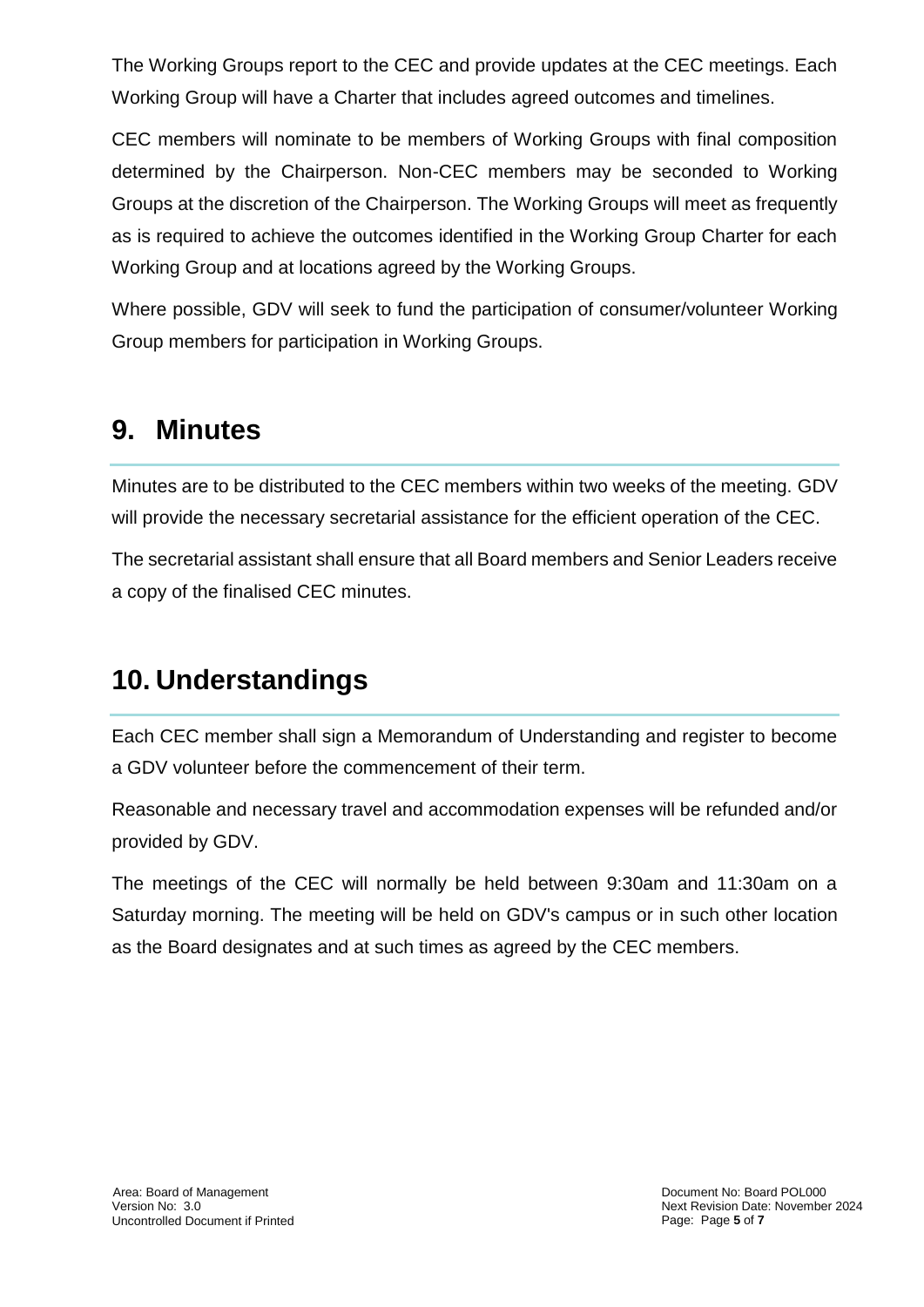The Working Groups report to the CEC and provide updates at the CEC meetings. Each Working Group will have a Charter that includes agreed outcomes and timelines.

CEC members will nominate to be members of Working Groups with final composition determined by the Chairperson. Non-CEC members may be seconded to Working Groups at the discretion of the Chairperson. The Working Groups will meet as frequently as is required to achieve the outcomes identified in the Working Group Charter for each Working Group and at locations agreed by the Working Groups.

Where possible, GDV will seek to fund the participation of consumer/volunteer Working Group members for participation in Working Groups.

#### **9. Minutes**

Minutes are to be distributed to the CEC members within two weeks of the meeting. GDV will provide the necessary secretarial assistance for the efficient operation of the CEC.

The secretarial assistant shall ensure that all Board members and Senior Leaders receive a copy of the finalised CEC minutes.

#### **10. Understandings**

Each CEC member shall sign a Memorandum of Understanding and register to become a GDV volunteer before the commencement of their term.

Reasonable and necessary travel and accommodation expenses will be refunded and/or provided by GDV.

The meetings of the CEC will normally be held between 9:30am and 11:30am on a Saturday morning. The meeting will be held on GDV's campus or in such other location as the Board designates and at such times as agreed by the CEC members.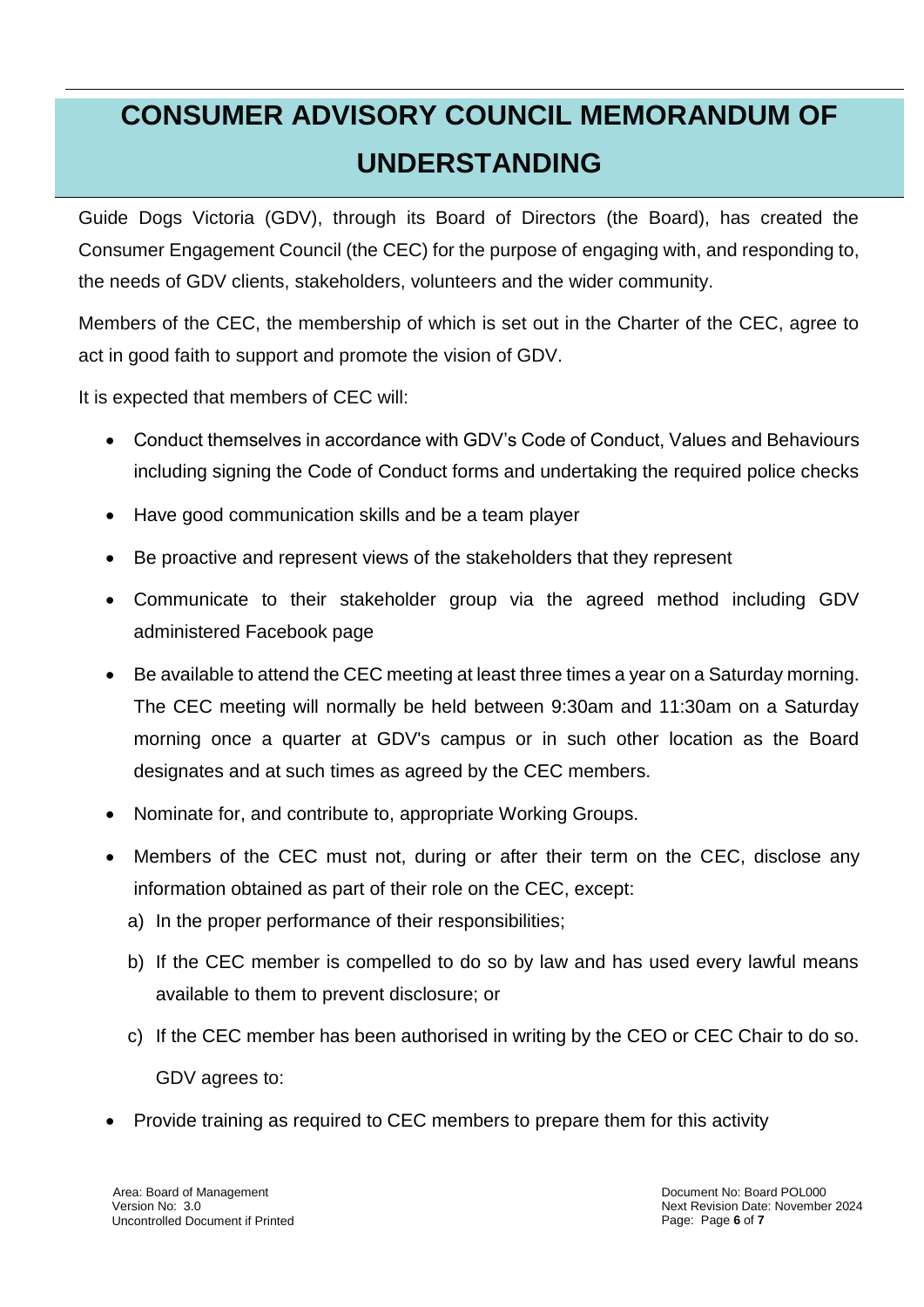# **CONSUMER ADVISORY COUNCIL MEMORANDUM OF UNDERSTANDING**

Guide Dogs Victoria (GDV), through its Board of Directors (the Board), has created the Consumer Engagement Council (the CEC) for the purpose of engaging with, and responding to, the needs of GDV clients, stakeholders, volunteers and the wider community.

Members of the CEC, the membership of which is set out in the Charter of the CEC, agree to act in good faith to support and promote the vision of GDV.

It is expected that members of CEC will:

- Conduct themselves in accordance with GDV's Code of Conduct, Values and Behaviours including signing the Code of Conduct forms and undertaking the required police checks
- Have good communication skills and be a team player
- Be proactive and represent views of the stakeholders that they represent
- Communicate to their stakeholder group via the agreed method including GDV administered Facebook page
- Be available to attend the CEC meeting at least three times a year on a Saturday morning. The CEC meeting will normally be held between 9:30am and 11:30am on a Saturday morning once a quarter at GDV's campus or in such other location as the Board designates and at such times as agreed by the CEC members.
- Nominate for, and contribute to, appropriate Working Groups.
- Members of the CEC must not, during or after their term on the CEC, disclose any information obtained as part of their role on the CEC, except:
	- a) In the proper performance of their responsibilities;
	- b) If the CEC member is compelled to do so by law and has used every lawful means available to them to prevent disclosure; or
	- c) If the CEC member has been authorised in writing by the CEO or CEC Chair to do so. GDV agrees to:
- Provide training as required to CEC members to prepare them for this activity